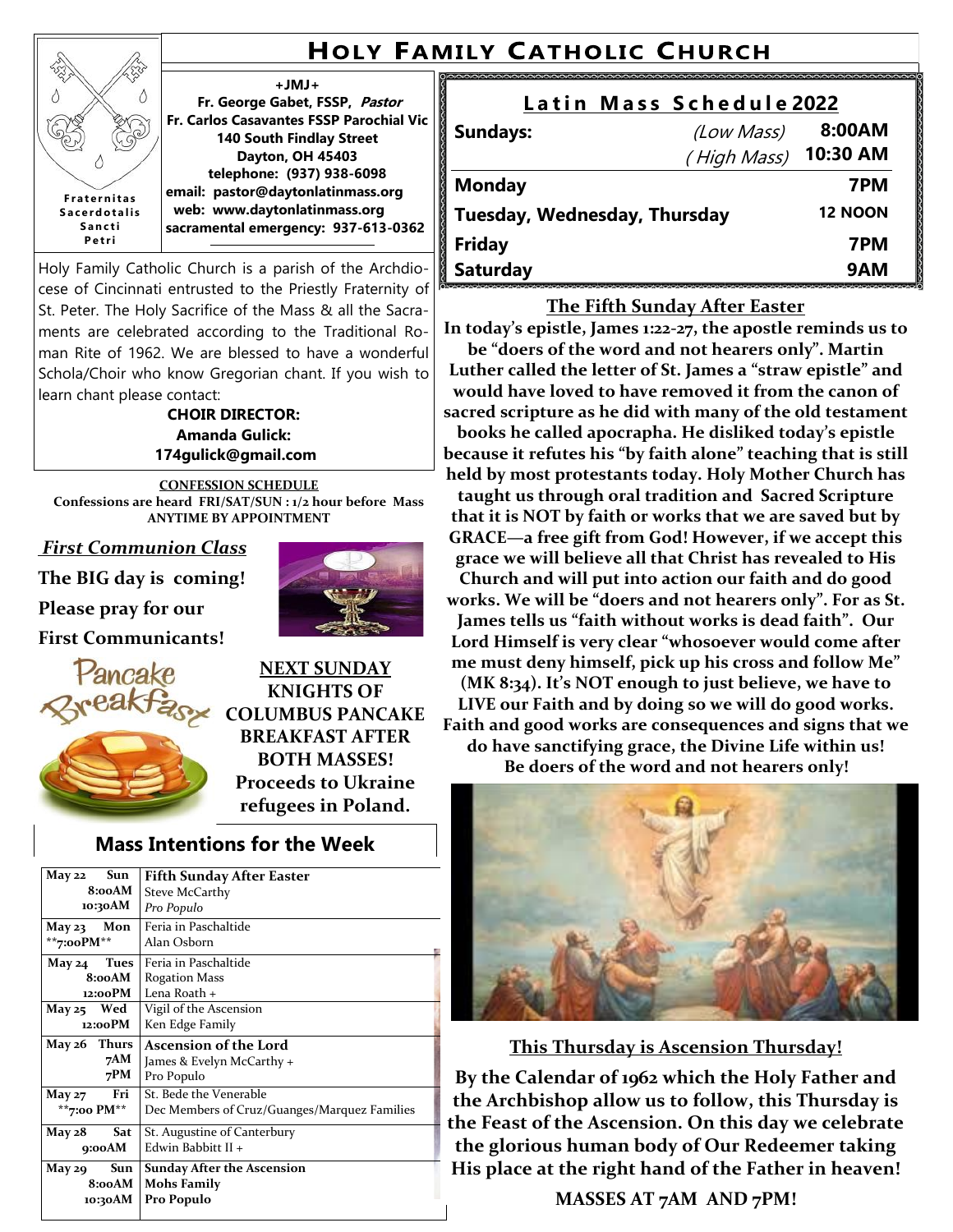## **HOLY FAMILY CATHOLIC CHURCH**

#### **+JMJ+**

**Fr. George Gabet, FSSP, Pastor Fr. Carlos Casavantes FSSP Parochial Vic 140 South Findlay Street Dayton, OH 45403 telephone: (937) 938-6098 email: pastor@daytonlatinmass.org web: www.daytonlatinmass.org sacramental emergency: 937-613-0362 F r a t e r n i t a s S a c e r d o t a l i s S a n c t i** 

Holy Family Catholic Church is a parish of the Archdiocese of Cincinnati entrusted to the Priestly Fraternity of St. Peter. The Holy Sacrifice of the Mass & all the Sacraments are celebrated according to the Traditional Roman Rite of 1962. We are blessed to have a wonderful Schola/Choir who know Gregorian chant. If you wish to learn chant please contact:

> **CHOIR DIRECTOR: Amanda Gulick: 174gulick@gmail.com**

**CONFESSION SCHEDULE Confessions are heard FRI/SAT/SUN : 1/2 hour before Mass ANYTIME BY APPOINTMENT**

*First Communion Class*

**The BIG day is coming!** 

**Please pray for our**

**P e t r i**

ž Δ

**First Communicants!**





**NEXT SUNDAY KNIGHTS OF COLUMBUS PANCAKE BREAKFAST AFTER BOTH MASSES! Proceeds to Ukraine refugees in Poland.**

### **Mass Intentions for the Week**

| May 22<br>Sun<br>8:00AM | <b>Fifth Sunday After Easter</b>             |
|-------------------------|----------------------------------------------|
|                         | <b>Steve McCarthy</b>                        |
| 10:30AM                 | Pro Populo                                   |
| May 23<br>Mon           | Feria in Paschaltide                         |
| **7:00 $PM**$           | Alan Osborn                                  |
| Tues<br>May 24          | Feria in Paschaltide                         |
| 8:00AM                  | <b>Rogation Mass</b>                         |
| 12:00PM                 | Lena Roath +                                 |
| May 25 Wed              | Vigil of the Ascension                       |
| 12:00PM                 | Ken Edge Family                              |
| May 26 Thurs            | <b>Ascension of the Lord</b>                 |
| 7AM                     | James & Evelyn McCarthy +                    |
| 7PM                     | Pro Populo                                   |
| <b>Fri</b><br>May $27$  | St. Bede the Venerable                       |
| **7:00 PM**             | Dec Members of Cruz/Guanges/Marquez Families |
| Sat<br>May $28$         | St. Augustine of Canterbury                  |
| 9:00AM                  | Edwin Babbitt II +                           |
| Sun<br>May 29           | <b>Sunday After the Ascension</b>            |
| 8:00AM                  | <b>Mohs Family</b>                           |
| 10:30AM                 | Pro Populo                                   |
|                         |                                              |

| Latin Mass Schedule 2022     |                |          |  |
|------------------------------|----------------|----------|--|
| <b>Sundays:</b>              | (Low Mass)     | 8:00AM   |  |
|                              | (High Mass)    | 10:30 AM |  |
| <b>Monday</b>                |                | 7PM      |  |
| Tuesday, Wednesday, Thursday | <b>12 NOON</b> |          |  |
| <b>Friday</b>                |                | 7PM      |  |
| <b>Saturday</b>              |                | 9AM      |  |

#### **The Fifth Sunday After Easter**

**In today's epistle, James 1:22-27, the apostle reminds us to be "doers of the word and not hearers only". Martin Luther called the letter of St. James a "straw epistle" and would have loved to have removed it from the canon of sacred scripture as he did with many of the old testament books he called apocrapha. He disliked today's epistle because it refutes his "by faith alone" teaching that is still held by most protestants today. Holy Mother Church has taught us through oral tradition and Sacred Scripture that it is NOT by faith or works that we are saved but by GRACE—a free gift from God! However, if we accept this grace we will believe all that Christ has revealed to His Church and will put into action our faith and do good works. We will be "doers and not hearers only". For as St. James tells us "faith without works is dead faith". Our Lord Himself is very clear "whosoever would come after me must deny himself, pick up his cross and follow Me" (MK 8:34). It's NOT enough to just believe, we have to LIVE our Faith and by doing so we will do good works. Faith and good works are consequences and signs that we do have sanctifying grace, the Divine Life within us! Be doers of the word and not hearers only!**



**This Thursday is Ascension Thursday!**

**By the Calendar of 1962 which the Holy Father and the Archbishop allow us to follow, this Thursday is the Feast of the Ascension. On this day we celebrate the glorious human body of Our Redeemer taking His place at the right hand of the Father in heaven!**

**MASSES AT 7AM AND 7PM!**